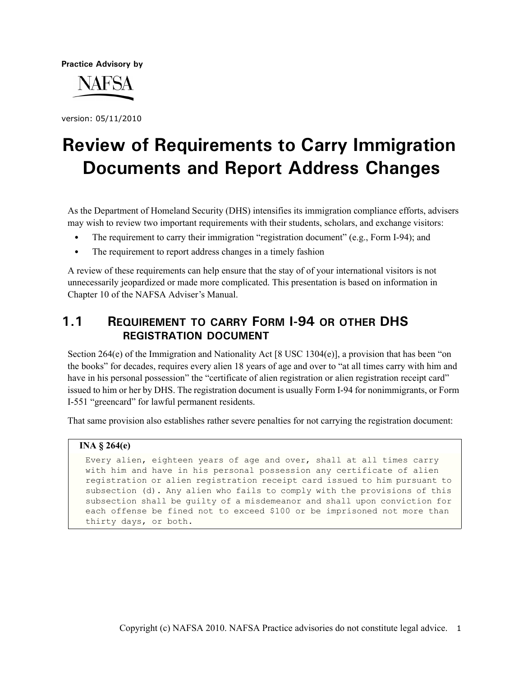**Practice Advisory by**



version: 05/11/2010

# **Review of Requirements to Carry Immigration Documents and Report Address Changes**

As the Department of Homeland Security (DHS) intensifies its immigration compliance efforts, advisers may wish to review two important requirements with their students, scholars, and exchange visitors:

- The requirement to carry their immigration "registration document" (e.g., Form I-94); and
- **•** The requirement to report address changes in a timely fashion

A review of these requirements can help ensure that the stay of of your international visitors is not unnecessarily jeopardized or made more complicated. This presentation is based on information in Chapter 10 of the NAFSA Adviser's Manual.

# **1.1 REQUIREMENT TO CARRY FORM I-94 OR OTHER DHS REGISTRATION DOCUMENT**

Section 264(e) of the Immigration and Nationality Act [8 USC 1304(e)], a provision that has been "on the books" for decades, requires every alien 18 years of age and over to "at all times carry with him and have in his personal possession" the "certificate of alien registration or alien registration receipt card" issued to him or her by DHS. The registration document is usually Form I-94 for nonimmigrants, or Form I-551 "greencard" for lawful permanent residents.

That same provision also establishes rather severe penalties for not carrying the registration document:

### **INA § 264(e)**

Every alien, eighteen years of age and over, shall at all times carry with him and have in his personal possession any certificate of alien registration or alien registration receipt card issued to him pursuant to subsection (d). Any alien who fails to comply with the provisions of this subsection shall be guilty of a misdemeanor and shall upon conviction for each offense be fined not to exceed \$100 or be imprisoned not more than thirty days, or both.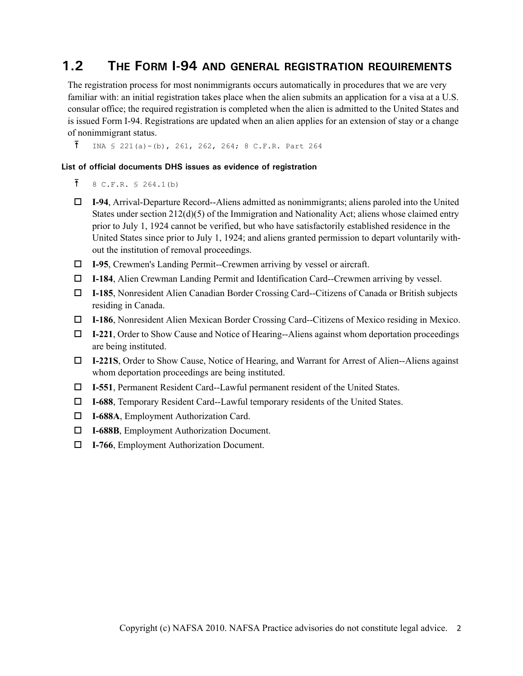## **1.2 THE FORM I-94 AND GENERAL REGISTRATION REQUIREMENTS**

The registration process for most nonimmigrants occurs automatically in procedures that we are very familiar with: an initial registration takes place when the alien submits an application for a visa at a U.S. consular office; the required registration is completed when the alien is admitted to the United States and is issued Form I-94. Registrations are updated when an alien applies for an extension of stay or a change of nonimmigrant status.

 $\bar{1}$  INA § 221(a)-(b), 261, 262, 264; 8 C.F.R. Part 264

#### **List of official documents DHS issues as evidence of registration**

- $\bar{f}$  8 C.F.R. § 264.1(b)
- **I-94**, Arrival-Departure Record--Aliens admitted as nonimmigrants; aliens paroled into the United States under section  $212(d)(5)$  of the Immigration and Nationality Act; aliens whose claimed entry prior to July 1, 1924 cannot be verified, but who have satisfactorily established residence in the United States since prior to July 1, 1924; and aliens granted permission to depart voluntarily without the institution of removal proceedings.
- **I-95**, Crewmen's Landing Permit--Crewmen arriving by vessel or aircraft.
- **I-184**, Alien Crewman Landing Permit and Identification Card--Crewmen arriving by vessel.
- **I-185**, Nonresident Alien Canadian Border Crossing Card--Citizens of Canada or British subjects residing in Canada.
- **I-186**, Nonresident Alien Mexican Border Crossing Card--Citizens of Mexico residing in Mexico.
- **I-221**, Order to Show Cause and Notice of Hearing--Aliens against whom deportation proceedings are being instituted.
- **I-221S**, Order to Show Cause, Notice of Hearing, and Warrant for Arrest of Alien--Aliens against whom deportation proceedings are being instituted.
- **I-551**, Permanent Resident Card--Lawful permanent resident of the United States.
- **I-688**, Temporary Resident Card--Lawful temporary residents of the United States.
- **I-688A**, Employment Authorization Card.
- **I-688B**, Employment Authorization Document.
- **I-766**, Employment Authorization Document.